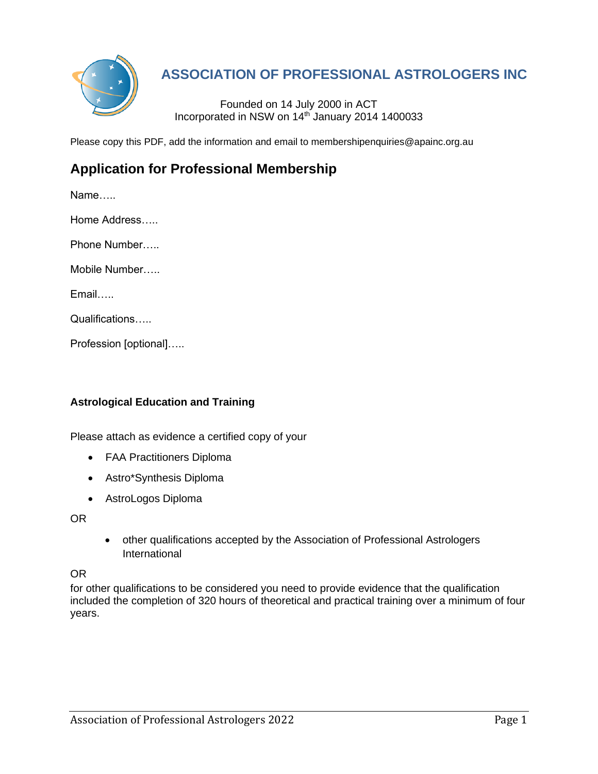

# **ASSOCIATION OF PROFESSIONAL ASTROLOGERS INC**

Founded on 14 July 2000 in ACT Incorporated in NSW on 14th January 2014 1400033

Please copy this PDF, add the information and email to membershipenquiries@apainc.org.au

## **Application for Professional Membership**

Name….. Home Address….. Phone Number….. Mobile Number….. Email…..

Qualifications…..

Profession [optional]…..

## **Astrological Education and Training**

Please attach as evidence a certified copy of your

- FAA Practitioners Diploma
- Astro\*Synthesis Diploma
- AstroLogos Diploma

OR

• other qualifications accepted by the Association of Professional Astrologers International

OR

for other qualifications to be considered you need to provide evidence that the qualification included the completion of 320 hours of theoretical and practical training over a minimum of four years.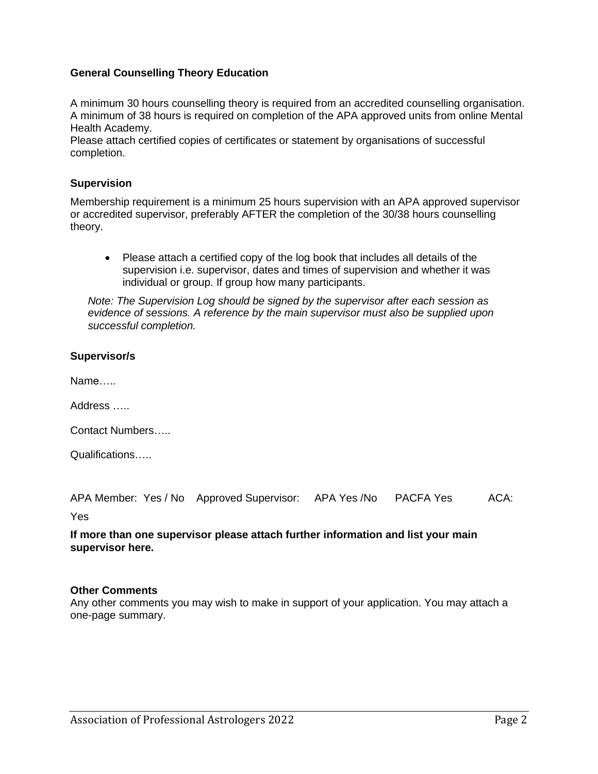## **General Counselling Theory Education**

A minimum 30 hours counselling theory is required from an accredited counselling organisation. A minimum of 38 hours is required on completion of the APA approved units from online Mental Health Academy.

Please attach certified copies of certificates or statement by organisations of successful completion.

### **Supervision**

Membership requirement is a minimum 25 hours supervision with an APA approved supervisor or accredited supervisor, preferably AFTER the completion of the 30/38 hours counselling theory.

• Please attach a certified copy of the log book that includes all details of the supervision i.e. supervisor, dates and times of supervision and whether it was individual or group. If group how many participants.

*Note: The Supervision Log should be signed by the supervisor after each session as evidence of sessions. A reference by the main supervisor must also be supplied upon successful completion.*

#### **Supervisor/s**

Name…..

Address …..

Contact Numbers…..

Qualifications…..

APA Member: Yes / No Approved Supervisor: APA Yes /No PACFA Yes ACA:

Yes

#### **If more than one supervisor please attach further information and list your main supervisor here.**

#### **Other Comments**

Any other comments you may wish to make in support of your application. You may attach a one-page summary.